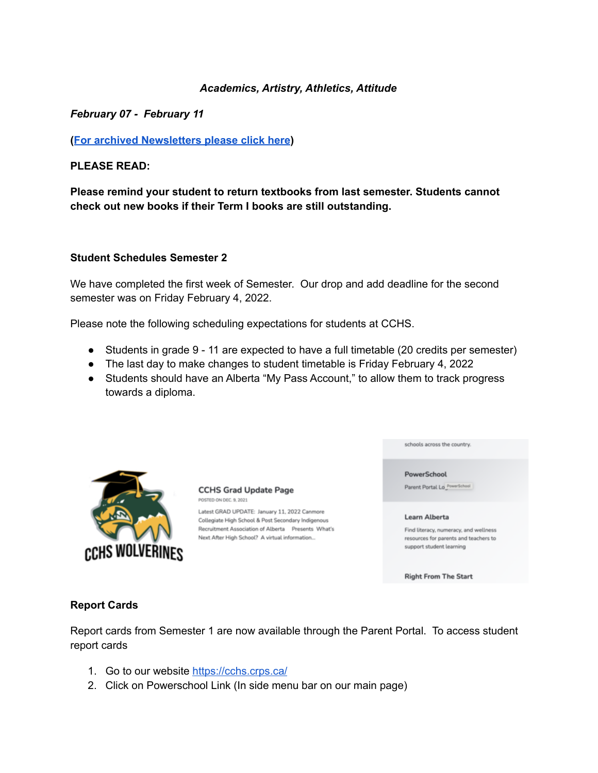#### *Academics, Artistry, Athletics, Attitude*

*February 07 - February 11*

**(For archived [Newsletters](https://cchs-crps.rallyonline.ca/about/newsletters) please click here)**

**PLEASE READ:**

**Please remind your student to return textbooks from last semester. Students cannot check out new books if their Term I books are still outstanding.**

#### **Student Schedules Semester 2**

We have completed the first week of Semester. Our drop and add deadline for the second semester was on Friday February 4, 2022.

Please note the following scheduling expectations for students at CCHS.

- Students in grade 9 11 are expected to have a full timetable (20 credits per semester)
- The last day to make changes to student timetable is Friday February 4, 2022
- Students should have an Alberta "My Pass Account," to allow them to track progress towards a diploma.



**CCHS Grad Update Page** POSTED ON DEC. 9, 2021

Latest GRAD UPDATE: January 11, 2022 Canmore Collegiate High School & Post Secondary Indigenous Recruitment Association of Alberta Presents What's Next After High School? A virtual information...

schools across the country.

PowerSchool

Parent Portal Lo\_PowerSchool

#### Learn Alberta

Find literacy, numeracy, and wellness resources for parents and teachers to support student learning

**Right From The Start** 

### **Report Cards**

Report cards from Semester 1 are now available through the Parent Portal. To access student report cards

- 1. Go to our website <https://cchs.crps.ca/>
- 2. Click on Powerschool Link (In side menu bar on our main page)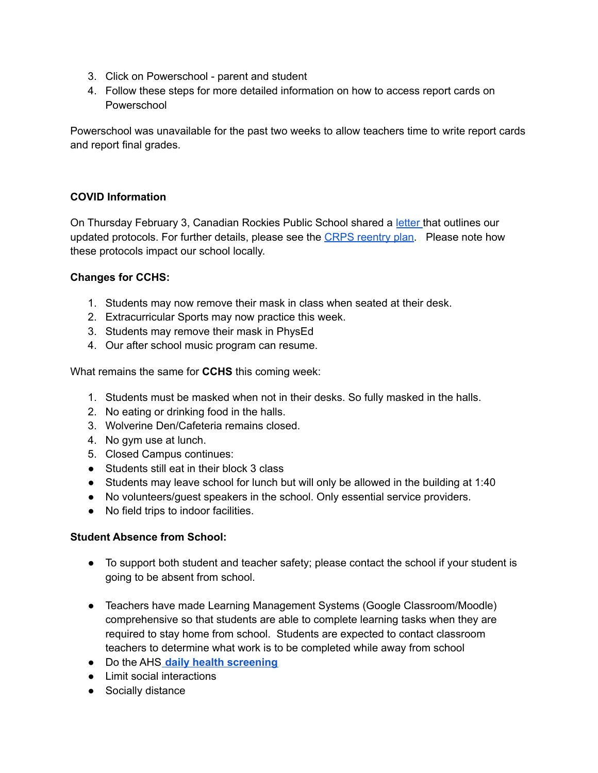- 3. Click on Powerschool parent and student
- 4. Follow these steps for more detailed information on how to access report cards on Powerschool

Powerschool was unavailable for the past two weeks to allow teachers time to write report cards and report final grades.

### **COVID Information**

On Thursday February 3, Canadian Rockies Public School shared a [letter](https://www.crps.ca/download/380333) that outlines our updated protocols. For further details, please see the CRPS [reentry](https://www.crps.ca/download/349105) plan. Please note how these protocols impact our school locally.

### **Changes for CCHS:**

- 1. Students may now remove their mask in class when seated at their desk.
- 2. Extracurricular Sports may now practice this week.
- 3. Students may remove their mask in PhysEd
- 4. Our after school music program can resume.

What remains the same for **CCHS** this coming week:

- 1. Students must be masked when not in their desks. So fully masked in the halls.
- 2. No eating or drinking food in the halls.
- 3. Wolverine Den/Cafeteria remains closed.
- 4. No gym use at lunch.
- 5. Closed Campus continues:
- Students still eat in their block 3 class
- Students may leave school for lunch but will only be allowed in the building at 1:40
- No volunteers/guest speakers in the school. Only essential service providers.
- No field trips to indoor facilities.

### **Student Absence from School:**

- To support both student and teacher safety; please contact the school if your student is going to be absent from school.
- Teachers have made Learning Management Systems (Google Classroom/Moodle) comprehensive so that students are able to complete learning tasks when they are required to stay home from school. Students are expected to contact classroom teachers to determine what work is to be completed while away from school
- Do the AHS **daily health [screening](https://open.alberta.ca/dataset/56c020ed-1782-4c6c-bfdd-5af36754471f/resource/58957831-a4ab-45ff-9a8e-3c6af7c1622e/download/covid-19-information-alberta-health-daily-checklist-2022-01.pdf)**
- Limit social interactions
- Socially distance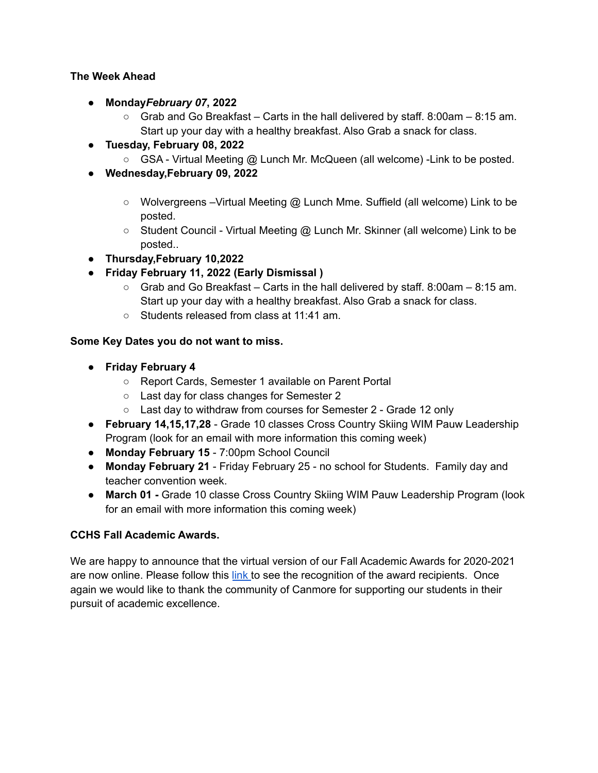### **The Week Ahead**

- **Monday***February 07***, 2022**
	- $\circ$  Grab and Go Breakfast Carts in the hall delivered by staff. 8:00am 8:15 am. Start up your day with a healthy breakfast. Also Grab a snack for class.
- **Tuesday, February 08, 2022**
	- GSA Virtual Meeting @ Lunch Mr. McQueen (all welcome) Link to be posted.
- **Wednesday,February 09, 2022**
	- Wolvergreens Virtual Meeting @ Lunch Mme. Suffield (all welcome) Link to be posted.
	- Student Council Virtual Meeting @ Lunch Mr. Skinner (all welcome) Link to be posted..
- **Thursday,February 10,2022**
- **Friday February 11, 2022 (Early Dismissal )**
	- $\circ$  Grab and Go Breakfast Carts in the hall delivered by staff. 8:00am 8:15 am. Start up your day with a healthy breakfast. Also Grab a snack for class.
	- Students released from class at 11:41 am.

# **Some Key Dates you do not want to miss.**

- **Friday February 4**
	- Report Cards, Semester 1 available on Parent Portal
	- Last day for class changes for Semester 2
	- Last day to withdraw from courses for Semester 2 Grade 12 only
- **February 14,15,17,28** Grade 10 classes Cross Country Skiing WIM Pauw Leadership Program (look for an email with more information this coming week)
- **Monday February 15** 7:00pm School Council
- **Monday February 21** Friday February 25 no school for Students. Family day and teacher convention week.
- **March 01 -** Grade 10 classe Cross Country Skiing WIM Pauw Leadership Program (look for an email with more information this coming week)

# **CCHS Fall Academic Awards.**

We are happy to announce that the virtual version of our Fall Academic Awards for 2020-2021 are now online. Please follow this [link](https://cchs.crps.ca/home/news/post/cchs-academic-awards-2021) to see the recognition of the award recipients. Once again we would like to thank the community of Canmore for supporting our students in their pursuit of academic excellence.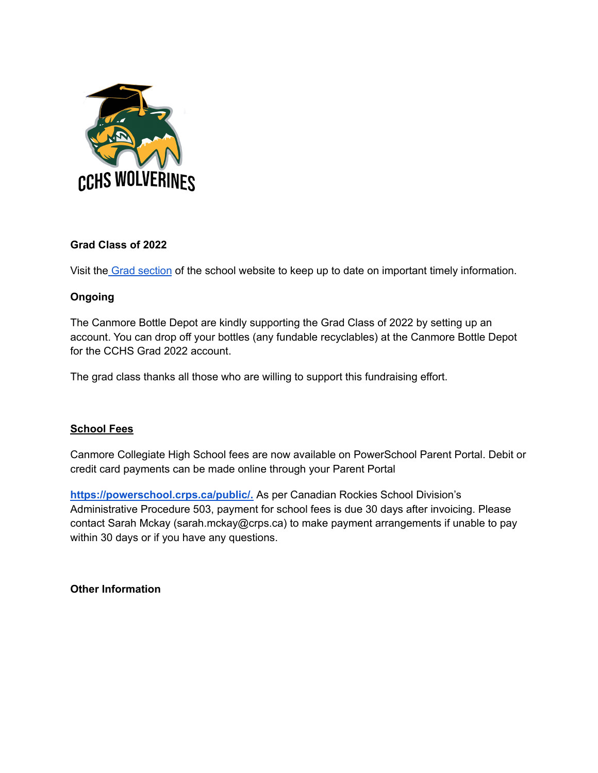

# **Grad Class of 2022**

Visit the Grad [section](https://cchs.crps.ca/home/news/post/cchs-grad-update-page) of the school website to keep up to date on important timely information.

# **Ongoing**

The Canmore Bottle Depot are kindly supporting the Grad Class of 2022 by setting up an account. You can drop off your bottles (any fundable recyclables) at the Canmore Bottle Depot for the CCHS Grad 2022 account.

The grad class thanks all those who are willing to support this fundraising effort.

# **School Fees**

Canmore Collegiate High School fees are now available on PowerSchool Parent Portal. Debit or credit card payments can be made online through your Parent Portal

**[https://powerschool.crps.ca/public/.](https://powerschool.crps.ca/public/)** As per Canadian Rockies School Division's Administrative Procedure 503, payment for school fees is due 30 days after invoicing. Please contact Sarah Mckay (sarah.mckay@crps.ca) to make payment arrangements if unable to pay within 30 days or if you have any questions.

**Other Information**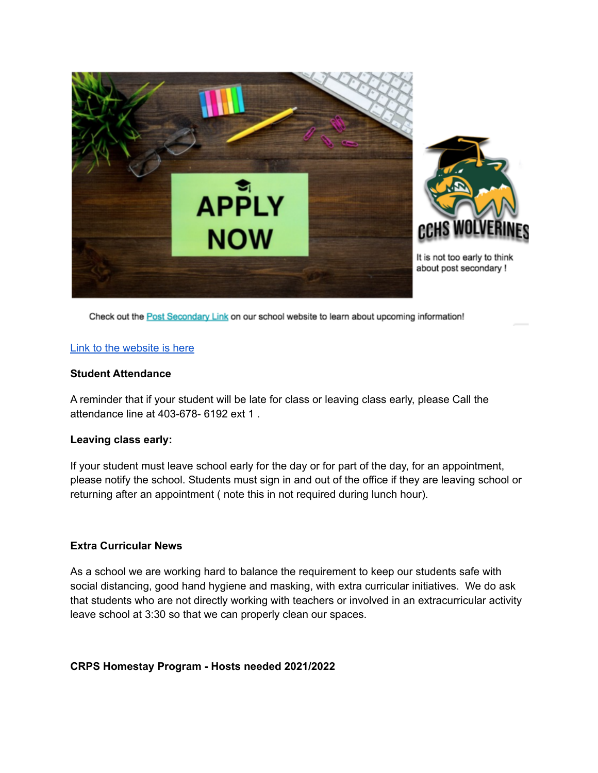

Check out the Post Secondary Link on our school website to learn about upcoming information!

#### Link to the [website](https://cchs.crps.ca/programs/post-secondary) is here

#### **Student Attendance**

A reminder that if your student will be late for class or leaving class early, please Call the attendance line at 403-678- 6192 ext 1 .

#### **Leaving class early:**

If your student must leave school early for the day or for part of the day, for an appointment, please notify the school. Students must sign in and out of the office if they are leaving school or returning after an appointment ( note this in not required during lunch hour).

### **Extra Curricular News**

As a school we are working hard to balance the requirement to keep our students safe with social distancing, good hand hygiene and masking, with extra curricular initiatives. We do ask that students who are not directly working with teachers or involved in an extracurricular activity leave school at 3:30 so that we can properly clean our spaces.

### **CRPS Homestay Program - Hosts needed 2021/2022**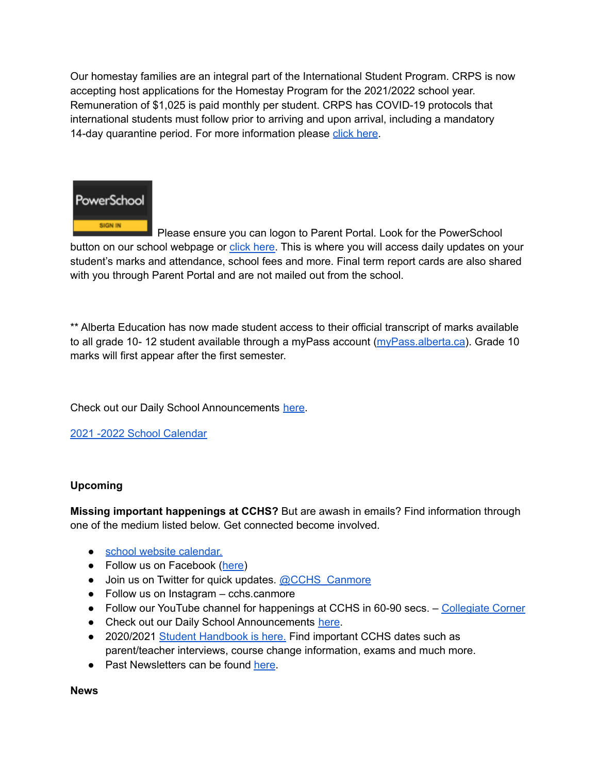Our homestay families are an integral part of the International Student Program. CRPS is now accepting host applications for the Homestay Program for the 2021/2022 school year. Remuneration of \$1,025 is paid monthly per student. CRPS has COVID-19 protocols that international students must follow prior to arriving and upon arrival, including a mandatory 14-day quarantine period. For more information please click [here](https://crps.ca/Homestay%20Program.php).



Please ensure you can logon to Parent Portal. Look for the PowerSchool button on our school webpage or click [here.](https://powerschool.crps.ca/public/) This is where you will access daily updates on your student's marks and attendance, school fees and more. Final term report cards are also shared with you through Parent Portal and are not mailed out from the school.

\*\* Alberta Education has now made student access to their official transcript of marks available to all grade 10- 12 student available through a myPass account [\(myPass.alberta.ca](https://public.education.alberta.ca/PASI/myPass)). Grade 10 marks will first appear after the first semester.

Check out our Daily School Announcements [here](https://docs.google.com/presentation/d/1eKIacynJnXoiOT2vNIyyWorRDtkcVp_c5pX052OGIN8/edit?usp=sharing).

2021 -2022 School [Calendar](https://www.crps.ca/download/344933)

# **Upcoming**

**Missing important happenings at CCHS?** But are awash in emails? Find information through one of the medium listed below. Get connected become involved.

- school website [calendar.](https://cchs.crps.ca/calendar)
- Follow us on Facebook ([here\)](https://www.facebook.com/cchscanmore/)
- Join us on Twitter for quick updates. [@CCHS\\_Canmore](https://twitter.com/CCHS_Canmore)
- Follow us on Instagram cchs.canmore
- Follow our YouTube channel for happenings at CCHS in 60-90 secs. [Collegiate](https://www.youtube.com/channel/UCap8jDQg0jyVSlVuXsjF-BA) Corner
- Check out our Daily School Announcements [here](https://docs.google.com/presentation/d/1eKIacynJnXoiOT2vNIyyWorRDtkcVp_c5pX052OGIN8/edit?usp=sharing).
- 2020/2021 Student [Handbook](https://cchs.crps.ca/download/363278) is here. Find important CCHS dates such as parent/teacher interviews, course change information, exams and much more.
- Past Newsletters can be found [here](https://cchs.crps.ca/Newsletters.php).

**News**